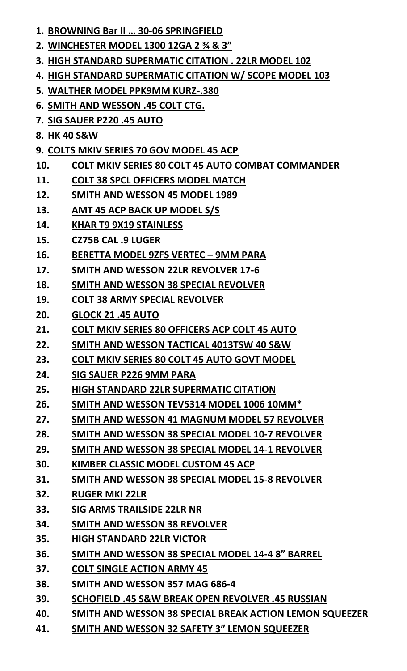- **1. BROWNING Bar II … 30-06 SPRINGFIELD**
- **2. WINCHESTER MODEL 1300 12GA 2 ¾ & 3"**
- **3. HIGH STANDARD SUPERMATIC CITATION . 22LR MODEL 102**
- **4. HIGH STANDARD SUPERMATIC CITATION W/ SCOPE MODEL 103**
- **5. WALTHER MODEL PPK9MM KURZ-.380**
- **6. SMITH AND WESSON .45 COLT CTG.**
- **7. SIG SAUER P220 .45 AUTO**
- **8. HK 40 S&W**
- **9. COLTS MKIV SERIES 70 GOV MODEL 45 ACP**
- **10. COLT MKIV SERIES 80 COLT 45 AUTO COMBAT COMMANDER**
- **11. COLT 38 SPCL OFFICERS MODEL MATCH**
- **12. SMITH AND WESSON 45 MODEL 1989**
- **13. AMT 45 ACP BACK UP MODEL S/S**
- **14. KHAR T9 9X19 STAINLESS**
- **15. CZ75B CAL .9 LUGER**
- **16. BERETTA MODEL 9ZFS VERTEC – 9MM PARA**
- **17. SMITH AND WESSON 22LR REVOLVER 17-6**
- **18. SMITH AND WESSON 38 SPECIAL REVOLVER**
- **19. COLT 38 ARMY SPECIAL REVOLVER**
- **20. GLOCK 21 .45 AUTO**
- **21. COLT MKIV SERIES 80 OFFICERS ACP COLT 45 AUTO**
- **22. SMITH AND WESSON TACTICAL 4013TSW 40 S&W**
- **23. COLT MKIV SERIES 80 COLT 45 AUTO GOVT MODEL**
- **24. SIG SAUER P226 9MM PARA**
- **25. HIGH STANDARD 22LR SUPERMATIC CITATION**
- **26. SMITH AND WESSON TEV5314 MODEL 1006 10MM\***
- **27. SMITH AND WESSON 41 MAGNUM MODEL 57 REVOLVER**
- **28. SMITH AND WESSON 38 SPECIAL MODEL 10-7 REVOLVER**
- **29. SMITH AND WESSON 38 SPECIAL MODEL 14-1 REVOLVER**
- **30. KIMBER CLASSIC MODEL CUSTOM 45 ACP**
- **31. SMITH AND WESSON 38 SPECIAL MODEL 15-8 REVOLVER**
- **32. RUGER MKI 22LR**
- **33. SIG ARMS TRAILSIDE 22LR NR**
- **34. SMITH AND WESSON 38 REVOLVER**
- **35. HIGH STANDARD 22LR VICTOR**
- **36. SMITH AND WESSON 38 SPECIAL MODEL 14-4 8" BARREL**
- **37. COLT SINGLE ACTION ARMY 45**
- **38. SMITH AND WESSON 357 MAG 686-4**
- **39. SCHOFIELD .45 S&W BREAK OPEN REVOLVER .45 RUSSIAN**
- **40. SMITH AND WESSON 38 SPECIAL BREAK ACTION LEMON SQUEEZER**
- **41. SMITH AND WESSON 32 SAFETY 3" LEMON SQUEEZER**